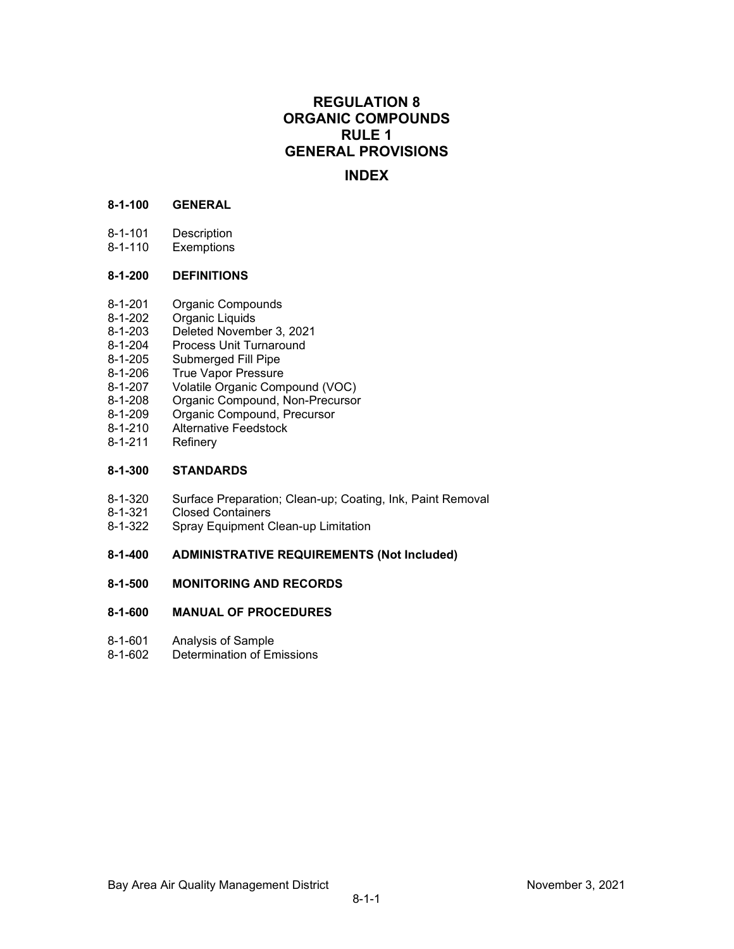# **REGULATION 8 ORGANIC COMPOUNDS RULE 1 GENERAL PROVISIONS**

# **INDEX**

## **8-1-100 GENERAL**

- 8-1-101 Description
- 8-1-110 Exemptions

## **8-1-200 DEFINITIONS**

- 8-1-201 Organic Compounds<br>8-1-202 Organic Liquids
- 8-1-202 Organic Liquids<br>8-1-203 Deleted Novemb
- Deleted November 3, 2021
- 8-1-204 Process Unit Turnaround<br>8-1-205 Submerged Fill Pipe
- 8-1-205 Submerged Fill Pipe<br>8-1-206 True Vapor Pressure
- 8-1-206 True Vapor Pressure<br>8-1-207 Volatile Organic Com
- 8-1-207 Volatile Organic Compound (VOC)<br>8-1-208 Organic Compound, Non-Precursor
- 8-1-208 Organic Compound, Non-Precursor<br>8-1-209 Organic Compound, Precursor
- 8-1-209 Organic Compound, Precursor<br>8-1-210 Alternative Feedstock
- 8-1-210 Alternative Feedstock<br>8-1-211 Refinery
- Refinery

## **8-1-300 STANDARDS**

- 8-1-320 Surface Preparation; Clean-up; Coating, Ink, Paint Removal
- 8-1-321 Closed Containers<br>8-1-322 Spray Equipment C
- Spray Equipment Clean-up Limitation

## **8-1-400 ADMINISTRATIVE REQUIREMENTS (Not Included)**

## **8-1-500 MONITORING AND RECORDS**

## **8-1-600 MANUAL OF PROCEDURES**

- 8-1-601 Analysis of Sample<br>8-1-602 Determination of En
- Determination of Emissions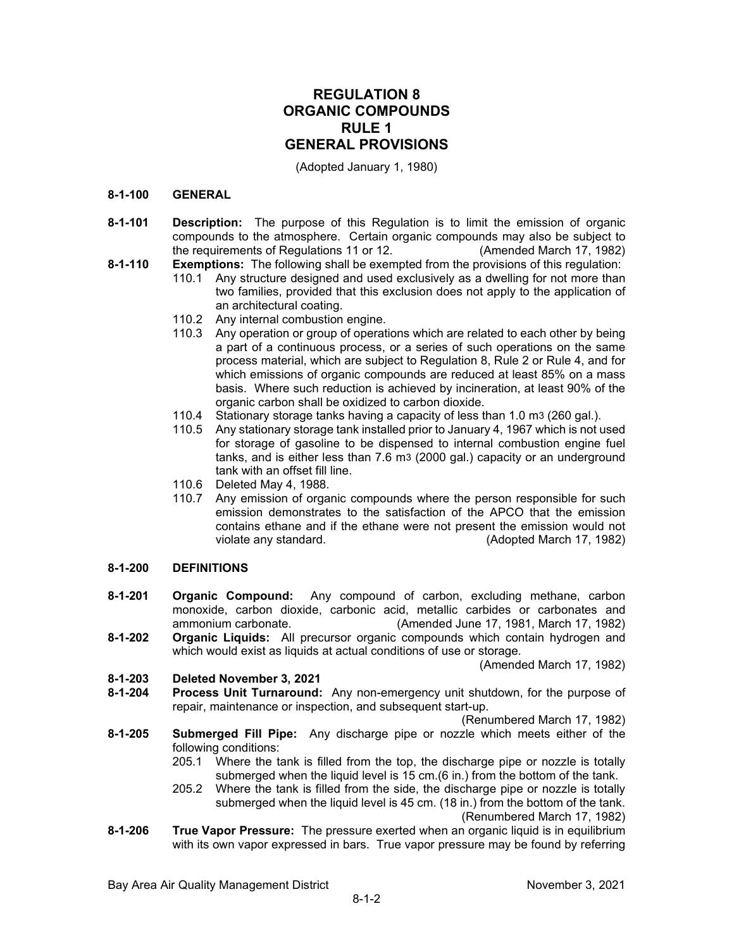# **REGULATION 8 ORGANIC COMPOUNDS RULE 1 GENERAL PROVISIONS**

(Adopted January 1, 1980)

#### **8-1-100 GENERAL**

- **8-1-101 Description:** The purpose of this Regulation is to limit the emission of organic compounds to the atmosphere. Certain organic compounds may also be subject to the requirements of Requlations 11 or 12.
- **8-1-110 Exemptions:** The following shall be exempted from the provisions of this regulation:
	- 110.1 Any structure designed and used exclusively as a dwelling for not more than two families, provided that this exclusion does not apply to the application of an architectural coating.
	- 110.2 Any internal combustion engine.
	- 110.3 Any operation or group of operations which are related to each other by being a part of a continuous process, or a series of such operations on the same process material, which are subject to Regulation 8, Rule 2 or Rule 4, and for which emissions of organic compounds are reduced at least 85% on a mass basis. Where such reduction is achieved by incineration, at least 90% of the organic carbon shall be oxidized to carbon dioxide.
	- 110.4 Stationary storage tanks having a capacity of less than 1.0 m3 (260 gal.).
	- 110.5 Any stationary storage tank installed prior to January 4, 1967 which is not used for storage of gasoline to be dispensed to internal combustion engine fuel tanks, and is either less than 7.6 m3 (2000 gal.) capacity or an underground tank with an offset fill line.
	- 110.6 Deleted May 4, 1988.
	- 110.7 Any emission of organic compounds where the person responsible for such emission demonstrates to the satisfaction of the APCO that the emission contains ethane and if the ethane were not present the emission would not (Adopted March 17, 1982)

## **8-1-200 DEFINITIONS**

- **8-1-201 Organic Compound:** Any compound of carbon, excluding methane, carbon monoxide, carbon dioxide, carbonic acid, metallic carbides or carbonates and ammonium carbonate. (Amended June 17, 1981, March 17, 1982)
- **8-1-202 Organic Liquids:** All precursor organic compounds which contain hydrogen and which would exist as liquids at actual conditions of use or storage.

(Amended March 17, 1982)

# **8-1-203 Deleted November 3, 2021**

**8-1-204 Process Unit Turnaround:** Any non-emergency unit shutdown, for the purpose of repair, maintenance or inspection, and subsequent start-up.

(Renumbered March 17, 1982)

- **8-1-205 Submerged Fill Pipe:** Any discharge pipe or nozzle which meets either of the following conditions:
	- 205.1 Where the tank is filled from the top, the discharge pipe or nozzle is totally submerged when the liquid level is 15 cm.(6 in.) from the bottom of the tank.
	- 205.2 Where the tank is filled from the side, the discharge pipe or nozzle is totally submerged when the liquid level is 45 cm. (18 in.) from the bottom of the tank. (Renumbered March 17, 1982)
- **8-1-206 True Vapor Pressure:** The pressure exerted when an organic liquid is in equilibrium with its own vapor expressed in bars. True vapor pressure may be found by referring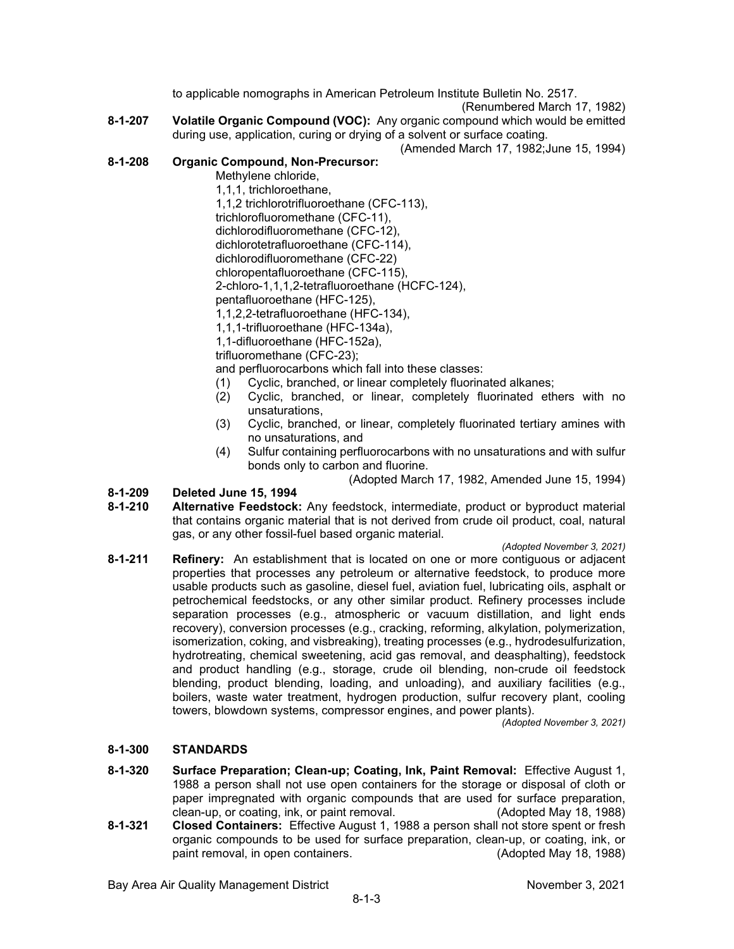to applicable nomographs in American Petroleum Institute Bulletin No. 2517.

(Renumbered March 17, 1982)

**8-1-207 Volatile Organic Compound (VOC):** Any organic compound which would be emitted during use, application, curing or drying of a solvent or surface coating.

(Amended March 17, 1982;June 15, 1994)

#### **8-1-208 Organic Compound, Non-Precursor:**

Methylene chloride,

1,1,1, trichloroethane, 1,1,2 trichlorotrifluoroethane (CFC-113),

trichlorofluoromethane (CFC-11),

dichlorodifluoromethane (CFC-12),

dichlorotetrafluoroethane (CFC-114),

dichlorodifluoromethane (CFC-22)

chloropentafluoroethane (CFC-115),

2-chloro-1,1,1,2-tetrafluoroethane (HCFC-124),

pentafluoroethane (HFC-125),

1,1,2,2-tetrafluoroethane (HFC-134),

1,1,1-trifluoroethane (HFC-134a),

1,1-difluoroethane (HFC-152a),

trifluoromethane (CFC-23);

and perfluorocarbons which fall into these classes:

- (1) Cyclic, branched, or linear completely fluorinated alkanes;
- (2) Cyclic, branched, or linear, completely fluorinated ethers with no unsaturations,
- (3) Cyclic, branched, or linear, completely fluorinated tertiary amines with no unsaturations, and
- (4) Sulfur containing perfluorocarbons with no unsaturations and with sulfur bonds only to carbon and fluorine.

(Adopted March 17, 1982, Amended June 15, 1994)

# **8-1-209 Deleted June 15, 1994**

Alternative Feedstock: Any feedstock, intermediate, product or byproduct material that contains organic material that is not derived from crude oil product, coal, natural gas, or any other fossil-fuel based organic material.

*(Adopted November 3, 2021)*

**8-1-211 Refinery:** An establishment that is located on one or more contiguous or adjacent properties that processes any petroleum or alternative feedstock, to produce more usable products such as gasoline, diesel fuel, aviation fuel, lubricating oils, asphalt or petrochemical feedstocks, or any other similar product. Refinery processes include separation processes (e.g., atmospheric or vacuum distillation, and light ends recovery), conversion processes (e.g., cracking, reforming, alkylation, polymerization, isomerization, coking, and visbreaking), treating processes (e.g., hydrodesulfurization, hydrotreating, chemical sweetening, acid gas removal, and deasphalting), feedstock and product handling (e.g., storage, crude oil blending, non-crude oil feedstock blending, product blending, loading, and unloading), and auxiliary facilities (e.g., boilers, waste water treatment, hydrogen production, sulfur recovery plant, cooling towers, blowdown systems, compressor engines, and power plants).

*(Adopted November 3, 2021)*

## **8-1-300 STANDARDS**

- **8-1-320 Surface Preparation; Clean-up; Coating, Ink, Paint Removal:** Effective August 1, 1988 a person shall not use open containers for the storage or disposal of cloth or paper impregnated with organic compounds that are used for surface preparation, clean-up, or coating, ink, or paint removal. (Adopted May 18, 1988) clean-up, or coating, ink, or paint removal.
- **8-1-321 Closed Containers:** Effective August 1, 1988 a person shall not store spent or fresh organic compounds to be used for surface preparation, clean-up, or coating, ink, or paint removal, in open containers.